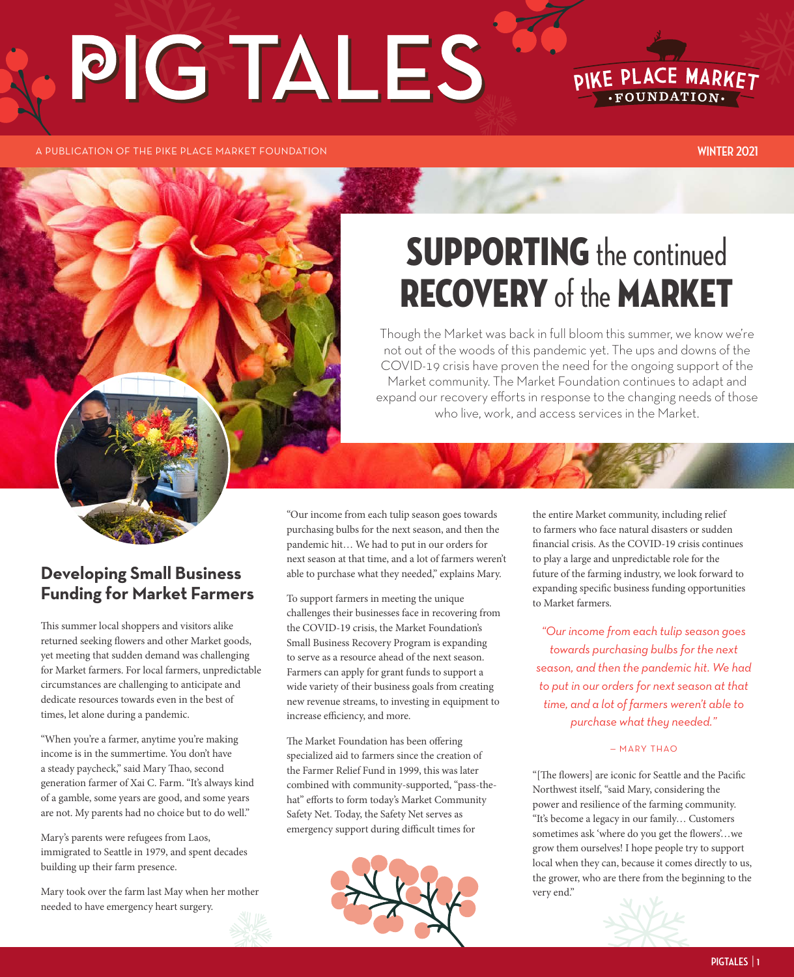# PIG TALES



A PUBLICATION OF THE PIKE PLACE MARKET FOUNDATION **WINTER 2021**

# **SUPPORTING** the continued RECOVERY of the MARKET

Though the Market was back in full bloom this summer, we know we're not out of the woods of this pandemic yet. The ups and downs of the COVID-19 crisis have proven the need for the ongoing support of the Market community. The Market Foundation continues to adapt and expand our recovery efforts in response to the changing needs of those who live, work, and access services in the Market.

#### **Developing Small Business Funding for Market Farmers**

This summer local shoppers and visitors alike returned seeking flowers and other Market goods, yet meeting that sudden demand was challenging for Market farmers. For local farmers, unpredictable circumstances are challenging to anticipate and dedicate resources towards even in the best of times, let alone during a pandemic.

"When you're a farmer, anytime you're making income is in the summertime. You don't have a steady paycheck," said Mary Thao, second generation farmer of Xai C. Farm. "It's always kind of a gamble, some years are good, and some years are not. My parents had no choice but to do well."

Mary's parents were refugees from Laos, immigrated to Seattle in 1979, and spent decades building up their farm presence.

Mary took over the farm last May when her mother needed to have emergency heart surgery.

"Our income from each tulip season goes towards purchasing bulbs for the next season, and then the pandemic hit… We had to put in our orders for next season at that time, and a lot of farmers weren't able to purchase what they needed," explains Mary.

To support farmers in meeting the unique challenges their businesses face in recovering from the COVID-19 crisis, the Market Foundation's Small Business Recovery Program is expanding to serve as a resource ahead of the next season. Farmers can apply for grant funds to support a wide variety of their business goals from creating new revenue streams, to investing in equipment to increase efficiency, and more.

The Market Foundation has been offering specialized aid to farmers since the creation of the Farmer Relief Fund in 1999, this was later combined with community-supported, "pass-thehat" efforts to form today's Market Community Safety Net. Today, the Safety Net serves as emergency support during difficult times for



the entire Market community, including relief to farmers who face natural disasters or sudden financial crisis. As the COVID-19 crisis continues to play a large and unpredictable role for the future of the farming industry, we look forward to expanding specific business funding opportunities to Market farmers.

*"Our income from each tulip season goes towards purchasing bulbs for the next season, and then the pandemic hit. We had to put in our orders for next season at that time, and a lot of farmers weren't able to purchase what they needed."*

#### — MARY THAO

"[The flowers] are iconic for Seattle and the Pacific Northwest itself, "said Mary, considering the power and resilience of the farming community. "It's become a legacy in our family… Customers sometimes ask 'where do you get the flowers'…we grow them ourselves! I hope people try to support local when they can, because it comes directly to us, the grower, who are there from the beginning to the very end."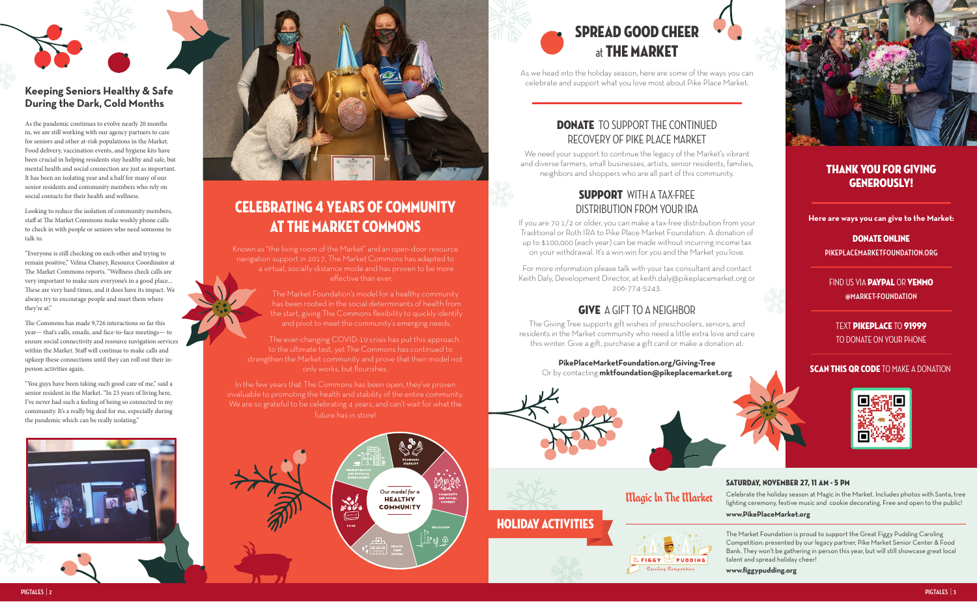**Here are ways you can give to the Market:** 

#### DONATE ONLINE

FIND US VIA **PAYPAL** OR **VENMO @MARKET-FOUNDATION**

TEXT Pikeplace TO 91999 TO DONATE ON YOUR PHONE

#### **SCAN THIS QR CODE TO MAKE A DONATION**



## Magic In The Market

## CELEBRATING 4 YEARS OF COMMUNITY AT THE MARKET COMMONS

Known as "the living room of the Market" and an open-door resource navigation support in 2017, The Market Commons has adapted to a virtual, socially-distance mode and has proven to be more effective than ever.

> The Market Foundation's model for a healthy community has been rooted in the social determinants of health from the start, giving The Commons flexibility to quickly identify and pivot to meet the community's emerging needs.

#### **DONATE** TO SUPPORT THE CONTINUED RECOVERY OF PIKE PLACE MARKET

The ever-changing COVID-19 crisis has put this approach to the ultimate test, yet The Commons has continued to strengthen the Market community and prove that their model not only works, but flourishes.

#### SUPPORT WITH A TAX-FREE DISTRIBUTION FROM YOUR IRA



In the few years that The Commons has been open, they've proven invaluable to promoting the health and stability of the entire community. We are so grateful to be celebrating 4 years, and can't wait for what the future has in store!





As we head into the holiday season, here are some of the ways you can celebrate and support what you love most about Pike Place Market:

We need your support to continue the legacy of the Market's vibrant and diverse farmers, small businesses, artists, senior residents, families, neighbors and shoppers who are all part of this community.



If you are 70 1/2 or older, you can make a tax-free distribution from your Traditional or Roth IRA to Pike Place Market Foundation. A donation of up to \$100,000 (each year) can be made without incurring income tax on your withdrawal. It's a win-win for you and the Market you love.

For more information please talk with your tax consultant and contact Keith Daly, Development Director, at keith.daly@pikeplacemarket.org or 206-774-5243.

### give A GIFT TO A NEIGHBOR

The Giving Tree supports gift wishes of preschoolers, seniors, and residents in the Market community who need a little extra love and care this winter. Give a gift, purchase a gift card or make a donation at:

**PikePlaceMarketFoundation.org/Giving-Tree** Or by contacting **mktfoundation@pikeplacemarket.org**





#### Thank you for giving generously!

**PIKEPLACEMARKETFOUNDATION.ORG**

#### **Keeping Seniors Healthy & Safe During the Dark, Cold Months**

As the pandemic continues to evolve nearly 20 months in, we are still working with our agency partners to care for seniors and other at-risk populations in the Market. Food delivery, vaccination events, and hygiene kits have been crucial in helping residents stay healthy and safe, but mental health and social connection are just as important. It has been an isolating year and a half for many of our senior residents and community members who rely on social contacts for their health and wellness.

Looking to reduce the isolation of community members, staff at The Market Commons make weekly phone calls to check in with people or seniors who need someone to talk to.

"Everyone is still checking on each other and trying to remain positive," Velma Chaney, Resource Coordinator at The Market Commons reports. "Wellness check calls are very important to make sure everyone's in a good place... These are very hard times, and it does have its impact. We always try to encourage people and meet them where they're at."

The Commons has made 9,726 interactions so far this year— that's calls, emails, and face-to-face meetings— to ensure social connectivity and resource navigation services within the Market. Staff will continue to make calls and upkeep these connections until they can roll out their inperson activities again.

"You guys have been taking such good care of me," said a senior resident in the Market. "In 23 years of living here, I've never had such a feeling of being so connected to my community. It's a really big deal for me, especially during the pandemic which can be really isolating."





#### SATURDAY, NOVEMBER 27, 11 AM - 5 PM

Celebrate the holiday season at Magic in the Market. Includes photos with Santa, tree lighting ceremony, festive music and cookie decorating. Free and open to the public!

#### **www.PikePlaceMarket.org**



The Market Foundation is proud to support the Great Figgy Pudding Caroling Competition: presented by our legacy partner, Pike Market Senior Center & Food Bank. They won't be gathering in person this year, but will still showcase great local talent and spread holiday cheer!

**www.figgypudding.org**

HOLIDAY ACTIVITIES